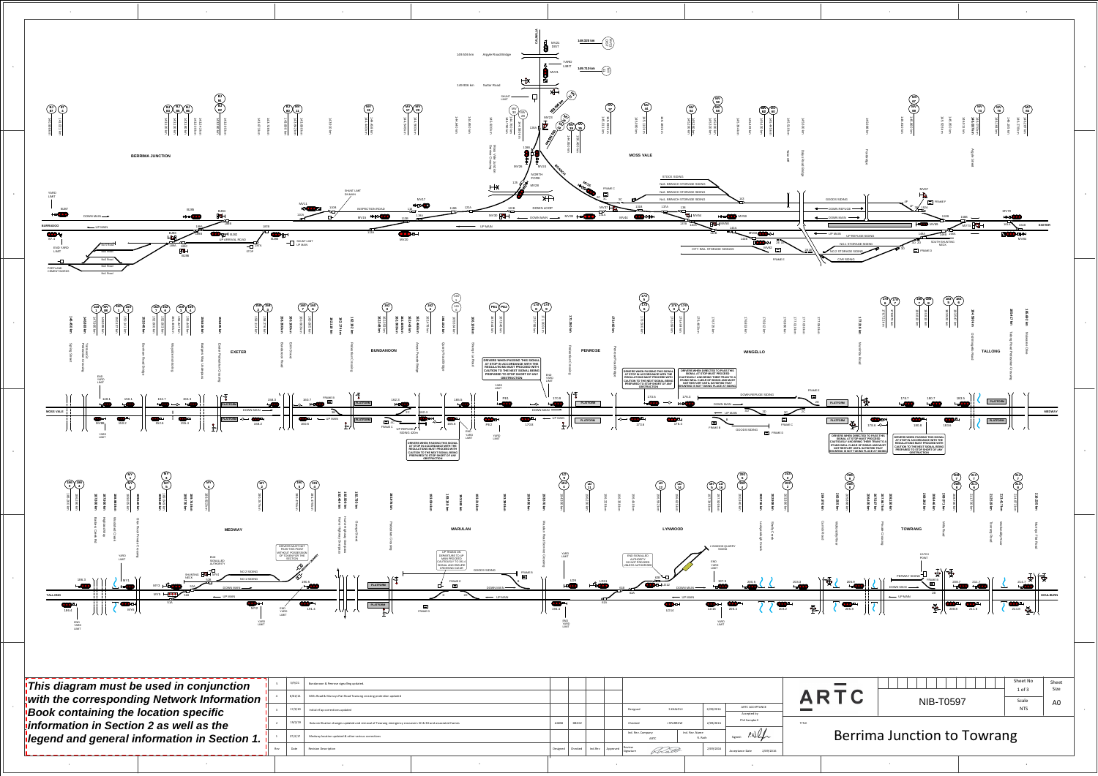A

D

E

F

B

C

F

D

C

A

E

B

1



|                     |                               |                           |           |                              |              | ARTC   |
|---------------------|-------------------------------|---------------------------|-----------|------------------------------|--------------|--------|
|                     | Designed<br>S KHAJOUI         | 2/09/2016                 |           | ARTC ACCEPTANCE              |              |        |
|                     |                               |                           |           | Accepted by                  |              |        |
|                     | Checked<br><b>J SPARROW</b>   |                           | 2/09/2016 | Phil Campbell                | <b>TITLE</b> |        |
|                     | Ind. Rev. Company<br>ARTC     | Ind. Rev. Name<br>R. Rath |           | Signed:                      |              | Berrim |
| Ind.Rev<br>Approved | Review<br>Kelatt<br>Signature |                           | 2/09/2016 | 2/09/2016<br>Acceptance Date |              |        |

2

3

4

7

 $\sim$  5

8



**Book containing the location specific** information in Section 2 as well as the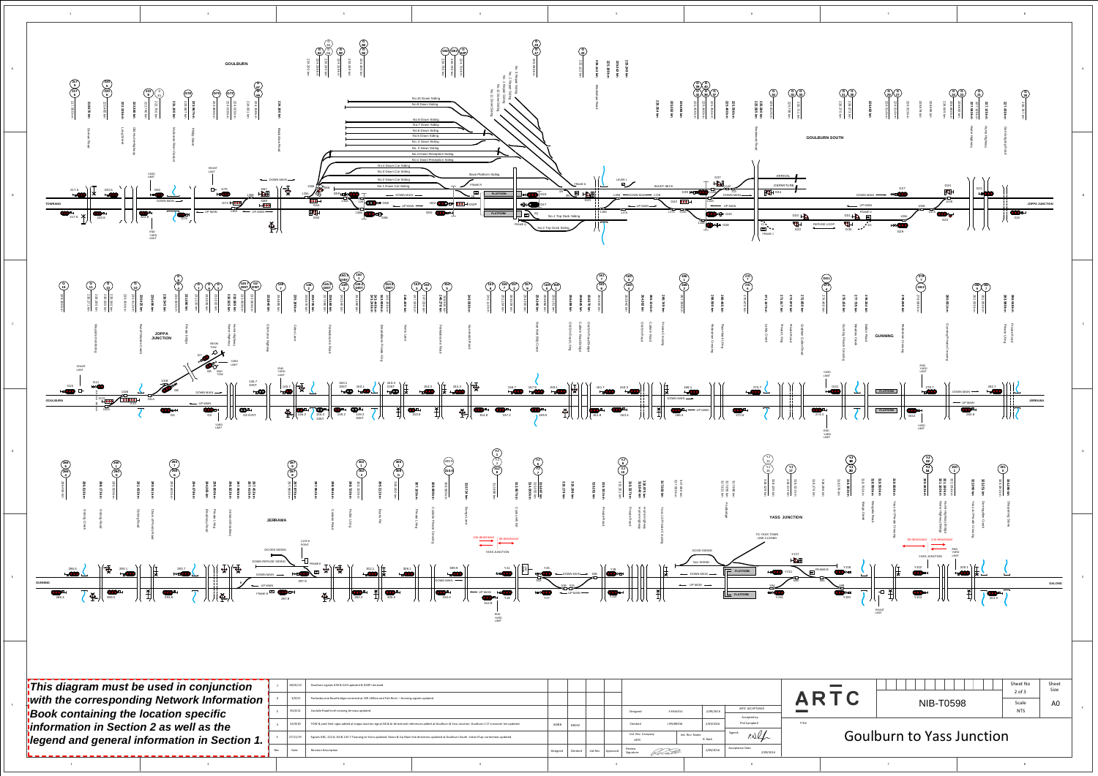

| 01/22 | Goulburn signals G50 & G29 updated & G50P removed                                                                                                          |   |  |  |  |  |
|-------|------------------------------------------------------------------------------------------------------------------------------------------------------------|---|--|--|--|--|
| 9/21  | Parkesbourne Road bridge corrected at 239.160km and Fish River - Gunning signals updated                                                                   |   |  |  |  |  |
| /4/21 | Coolalie Road level crossing Jerrawa updated.                                                                                                              |   |  |  |  |  |
| /9/20 | TOW & yard limit signs added at Joppa Junction signal G6 & bi-directional references added at Goulburn & Yass Junction. Goulburn 117 crossover km updated. |   |  |  |  |  |
| 11/19 | Signals G81, 222.8, G6 & 145.7 Towrang to Yarra updated. Down & Up Main line directions updated at Goulburn South. Initial eTap corrections updated        |   |  |  |  |  |
| ate   | <b>Revision Description</b>                                                                                                                                |   |  |  |  |  |
|       | 3                                                                                                                                                          | 4 |  |  |  |  |

|         |          |                                             |           |           |                              |              | ARTC  |
|---------|----------|---------------------------------------------|-----------|-----------|------------------------------|--------------|-------|
|         |          | Designed                                    | S KHAJOUI | 2/09/2016 | ARTC ACCEPTANCE              |              |       |
|         |          |                                             |           |           | Accepted by                  |              |       |
|         |          | Checked<br><b>J SPARROW</b>                 |           | 2/09/2016 | Phil Campbell                | <b>TITLE</b> |       |
|         |          | Ind. Rev. Company<br>Ind. Rev. Name<br>ARTC |           | R. Rath   | Signed:                      |              | Goull |
| Ind.Rev | Approved | Review<br>Kelatt<br>Signature               |           | 2/09/2016 | Acceptance Date<br>2/09/2016 |              |       |
|         |          |                                             |           |           |                              |              |       |